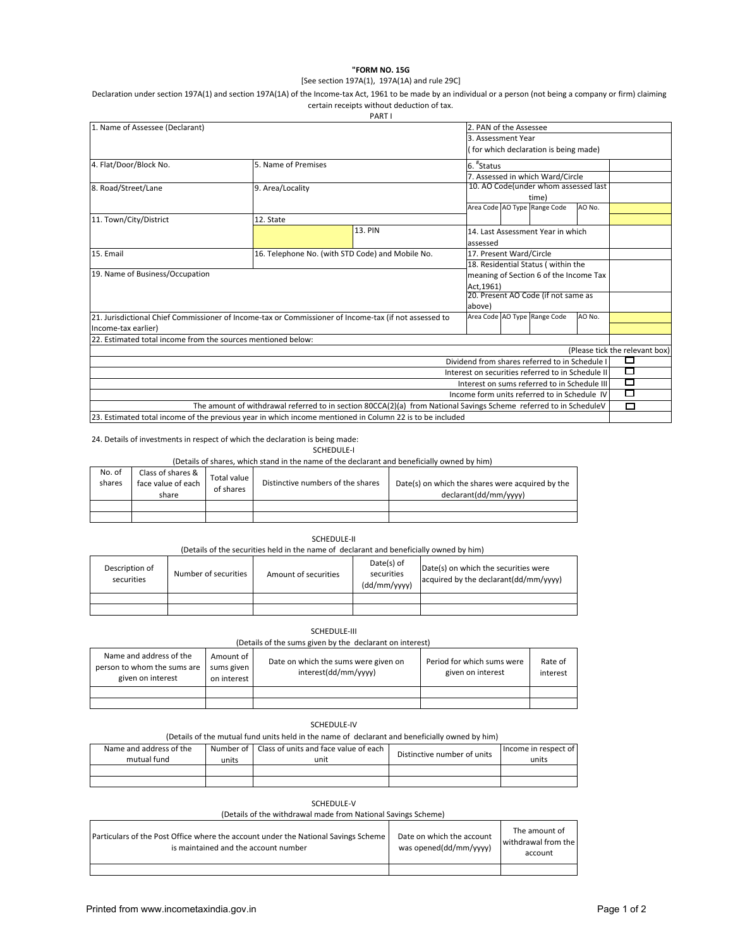### **"FORM NO. 15G**

### [See section 197A(1), 197A(1A) and rule 29C]

Declaration under section 197A(1) and section 197A(1A) of the Income-tax Act, 1961 to be made by an individual or a person (not being a company or firm) claiming certain receipts without deduction of tax.

|                                                                                                       |                                                                                                                   | PART I                                           |                                               |                                        |                                                   |        |                                |
|-------------------------------------------------------------------------------------------------------|-------------------------------------------------------------------------------------------------------------------|--------------------------------------------------|-----------------------------------------------|----------------------------------------|---------------------------------------------------|--------|--------------------------------|
| 1. Name of Assessee (Declarant)                                                                       |                                                                                                                   |                                                  | 2. PAN of the Assessee                        |                                        |                                                   |        |                                |
|                                                                                                       |                                                                                                                   |                                                  | 3. Assessment Year                            |                                        |                                                   |        |                                |
|                                                                                                       |                                                                                                                   |                                                  | for which declaration is being made)          |                                        |                                                   |        |                                |
| 4. Flat/Door/Block No.                                                                                | 5. Name of Premises                                                                                               |                                                  |                                               | 6. "Status                             |                                                   |        |                                |
|                                                                                                       |                                                                                                                   |                                                  |                                               | 7. Assessed in which Ward/Circle       |                                                   |        |                                |
| 8. Road/Street/Lane                                                                                   | 9. Area/Locality                                                                                                  |                                                  |                                               |                                        | 10. AO Code(under whom assessed last              |        |                                |
|                                                                                                       |                                                                                                                   |                                                  |                                               |                                        | time)                                             |        |                                |
|                                                                                                       |                                                                                                                   |                                                  |                                               |                                        | Area Code AO Type Range Code                      | AO No. |                                |
| 11. Town/City/District                                                                                | 12. State                                                                                                         |                                                  |                                               |                                        |                                                   |        |                                |
|                                                                                                       |                                                                                                                   | 13. PIN                                          | 14. Last Assessment Year in which<br>assessed |                                        |                                                   |        |                                |
| 15. Email                                                                                             |                                                                                                                   | 16. Telephone No. (with STD Code) and Mobile No. |                                               | 17. Present Ward/Circle                |                                                   |        |                                |
|                                                                                                       |                                                                                                                   |                                                  |                                               | 18. Residential Status (within the     |                                                   |        |                                |
| 19. Name of Business/Occupation                                                                       |                                                                                                                   |                                                  |                                               | meaning of Section 6 of the Income Tax |                                                   |        |                                |
|                                                                                                       |                                                                                                                   |                                                  | Act.1961)                                     |                                        |                                                   |        |                                |
|                                                                                                       |                                                                                                                   | 20. Present AO Code (if not same as              |                                               |                                        |                                                   |        |                                |
|                                                                                                       |                                                                                                                   |                                                  | above)                                        |                                        |                                                   |        |                                |
| 21. Jurisdictional Chief Commissioner of Income-tax or Commissioner of Income-tax (if not assessed to |                                                                                                                   |                                                  |                                               |                                        | Area Code AO Type Range Code                      | AO No. |                                |
| Income-tax earlier)                                                                                   |                                                                                                                   |                                                  |                                               |                                        |                                                   |        |                                |
| 22. Estimated total income from the sources mentioned below:                                          |                                                                                                                   |                                                  |                                               |                                        |                                                   |        |                                |
|                                                                                                       |                                                                                                                   |                                                  |                                               |                                        |                                                   |        | (Please tick the relevant box) |
|                                                                                                       |                                                                                                                   |                                                  |                                               |                                        | Dividend from shares referred to in Schedule I    |        |                                |
|                                                                                                       |                                                                                                                   |                                                  |                                               |                                        | Interest on securities referred to in Schedule II |        | U                              |
|                                                                                                       |                                                                                                                   |                                                  |                                               |                                        | Interest on sums referred to in Schedule III      |        | Г                              |
|                                                                                                       |                                                                                                                   |                                                  |                                               |                                        | Income form units referred to in Schedule IV      |        | $\sim$                         |
|                                                                                                       | The amount of withdrawal referred to in section 80CCA(2)(a) from National Savings Scheme referred to in ScheduleV |                                                  |                                               |                                        |                                                   |        | □                              |
|                                                                                                       | 23. Estimated total income of the previous year in which income mentioned in Column 22 is to be included          |                                                  |                                               |                                        |                                                   |        |                                |

24. Details of investments in respect of which the declaration is being made:

# SCHEDULE‐I

(Details of shares, which stand in the name of the declarant and beneficially owned by him)

| No. of<br>shares | Class of shares &<br>face value of each<br>share | Total value<br>of shares | Distinctive numbers of the shares | Date(s) on which the shares were acquired by the<br>declarant(dd/mm/vyyy) |
|------------------|--------------------------------------------------|--------------------------|-----------------------------------|---------------------------------------------------------------------------|
|                  |                                                  |                          |                                   |                                                                           |
|                  |                                                  |                          |                                   |                                                                           |

## SCHEDULE‐II

(Details of the securities held in the name of declarant and beneficially owned by him)

| Description of<br>securities | Number of securities | Amount of securities | Date(s) of<br>securities<br>(dd/mm/yyyy) | Date(s) on which the securities were<br>acquired by the declarant (dd/mm/vyyy) |
|------------------------------|----------------------|----------------------|------------------------------------------|--------------------------------------------------------------------------------|
|                              |                      |                      |                                          |                                                                                |
|                              |                      |                      |                                          |                                                                                |

## SCHEDULE‐III

(Details of the sums given by the declarant on interest)

| Name and address of the<br>person to whom the sums are<br>given on interest | Amount of I<br>sums given<br>on interest | Date on which the sums were given on<br>interest(dd/mm/yyyy) | Period for which sums were<br>given on interest | Rate of<br>interest |
|-----------------------------------------------------------------------------|------------------------------------------|--------------------------------------------------------------|-------------------------------------------------|---------------------|
|                                                                             |                                          |                                                              |                                                 |                     |
|                                                                             |                                          |                                                              |                                                 |                     |

# SCHEDULE‐IV

## (Details of the mutual fund units held in the name of declarant and beneficially owned by him)

| Name and address of the |       | Number of   Class of units and face value of each | Distinctive number of units | Income in respect of |
|-------------------------|-------|---------------------------------------------------|-----------------------------|----------------------|
| mutual fund             | units | unit                                              |                             | units                |
|                         |       |                                                   |                             |                      |
|                         |       |                                                   |                             |                      |

SCHEDULE‐V

(Details of the withdrawal made from National Savings Scheme)

| <b>Particulars of the Post Office where the account under the National Savings Scheme</b><br>is maintained and the account number | Date on which the account<br>was opened(dd/mm/yyyy) | The amount of<br>withdrawal from the<br>account |
|-----------------------------------------------------------------------------------------------------------------------------------|-----------------------------------------------------|-------------------------------------------------|
|                                                                                                                                   |                                                     |                                                 |